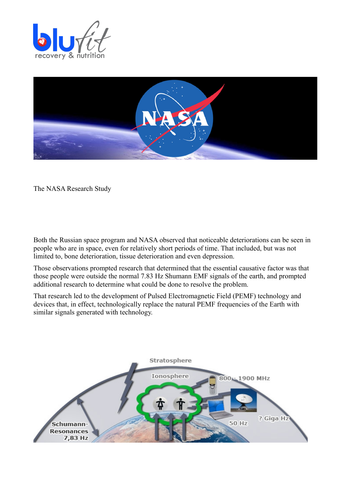



The NASA Research Study

Both the Russian space program and NASA observed that noticeable deteriorations can be seen in people who are in space, even for relatively short periods of time. That included, but was not limited to, bone deterioration, tissue deterioration and even depression.

Those observations prompted research that determined that the essential causative factor was that those people were outside the normal 7.83 Hz Shumann EMF signals of the earth, and prompted additional research to determine what could be done to resolve the problem.

That research led to the development of Pulsed Electromagnetic Field (PEMF) technology and devices that, in effect, technologically replace the natural PEMF frequencies of the Earth with similar signals generated with technology.

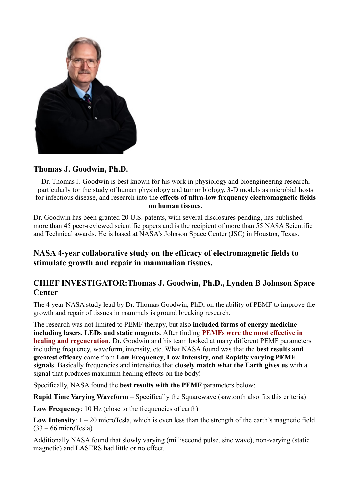

## **Thomas J. Goodwin, Ph.D.**

Dr. Thomas J. Goodwin is best known for his work in physiology and bioengineering research, particularly for the study of human physiology and tumor biology, 3-D models as microbial hosts for infectious disease, and research into the **effects of ultra-low frequency electromagnetic fields on human tissues**.

Dr. Goodwin has been granted 20 U.S. patents, with several disclosures pending, has published more than 45 peer-reviewed scientific papers and is the recipient of more than 55 NASA Scientific and Technical awards. He is based at NASA's Johnson Space Center (JSC) in Houston, Texas.

## **NASA 4-year collaborative study on the efficacy of electromagnetic fields to stimulate growth and repair in mammalian tissues.**

## **CHIEF INVESTIGATOR:Thomas J. Goodwin, Ph.D., Lynden B Johnson Space Center**

The 4 year NASA study lead by Dr. Thomas Goodwin, PhD, on the ability of PEMF to improve the growth and repair of tissues in mammals is ground breaking research.

The research was not limited to PEMF therapy, but also **included forms of energy medicine including lasers, LEDs and static magnets**. After finding **PEMFs were the most effective in healing and regeneration**, Dr. Goodwin and his team looked at many different PEMF parameters including frequency, waveform, intensity, etc. What NASA found was that the **best results and greatest efficacy** came from **Low Frequency, Low Intensity, and Rapidly varying PEMF signals**. Basically frequencies and intensities that **closely match what the Earth gives us** with a signal that produces maximum healing effects on the body!

Specifically, NASA found the **best results with the PEMF** parameters below:

**Rapid Time Varying Waveform** – Specifically the Squarewave (sawtooth also fits this criteria)

Low Frequency: 10 Hz (close to the frequencies of earth)

Low Intensity:  $1 - 20$  microTesla, which is even less than the strength of the earth's magnetic field (33 – 66 microTesla)

Additionally NASA found that slowly varying (millisecond pulse, sine wave), non-varying (static magnetic) and LASERS had little or no effect.